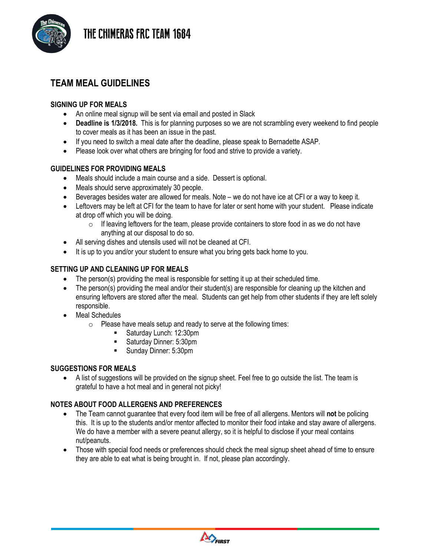



## **TEAM MEAL GUIDELINES**

#### **SIGNING UP FOR MEALS**

- An online meal signup will be sent via email and posted in Slack
- **Deadline is 1/3/2018.** This is for planning purposes so we are not scrambling every weekend to find people to cover meals as it has been an issue in the past.
- If you need to switch a meal date after the deadline, please speak to Bernadette ASAP.
- Please look over what others are bringing for food and strive to provide a variety.

### **GUIDELINES FOR PROVIDING MEALS**

- Meals should include a main course and a side. Dessert is optional.
- Meals should serve approximately 30 people.
- Beverages besides water are allowed for meals. Note we do not have ice at CFI or a way to keep it.
- Leftovers may be left at CFI for the team to have for later or sent home with your student. Please indicate at drop off which you will be doing.
	- $\circ$  If leaving leftovers for the team, please provide containers to store food in as we do not have anything at our disposal to do so.
- All serving dishes and utensils used will not be cleaned at CFI.
- It is up to you and/or your student to ensure what you bring gets back home to you.

#### **SETTING UP AND CLEANING UP FOR MEALS**

- The person(s) providing the meal is responsible for setting it up at their scheduled time.
- The person(s) providing the meal and/or their student(s) are responsible for cleaning up the kitchen and ensuring leftovers are stored after the meal. Students can get help from other students if they are left solely responsible.
- Meal Schedules
	- o Please have meals setup and ready to serve at the following times:
		- Saturday Lunch: 12:30pm
		- Saturday Dinner: 5:30pm
		- Sunday Dinner: 5:30pm

#### **SUGGESTIONS FOR MEALS**

• A list of suggestions will be provided on the signup sheet. Feel free to go outside the list. The team is grateful to have a hot meal and in general not picky!

#### **NOTES ABOUT FOOD ALLERGENS AND PREFERENCES**

- The Team cannot guarantee that every food item will be free of all allergens. Mentors will **not** be policing this. It is up to the students and/or mentor affected to monitor their food intake and stay aware of allergens. We do have a member with a severe peanut allergy, so it is helpful to disclose if your meal contains nut/peanuts.
- Those with special food needs or preferences should check the meal signup sheet ahead of time to ensure they are able to eat what is being brought in. If not, please plan accordingly.